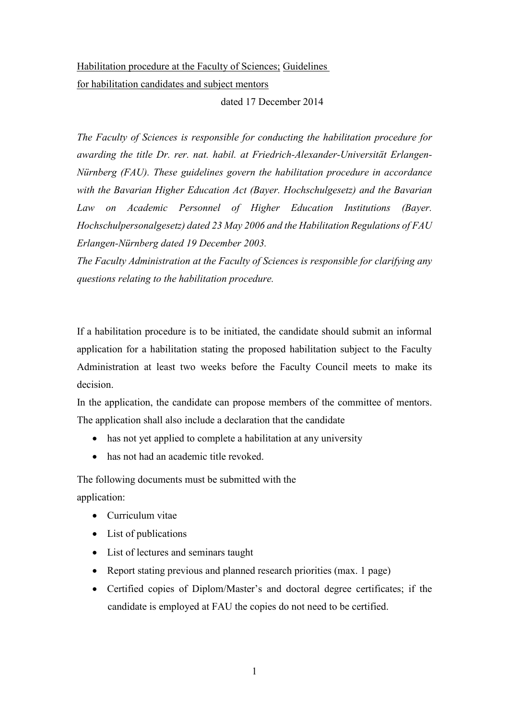## Habilitation procedure at the Faculty of Sciences; Guidelines for habilitation candidates and subject mentors

dated 17 December 2014

*The Faculty of Sciences is responsible for conducting the habilitation procedure for awarding the title Dr. rer. nat. habil. at Friedrich-Alexander-Universität Erlangen-Nürnberg (FAU). These guidelines govern the habilitation procedure in accordance with the Bavarian Higher Education Act (Bayer. Hochschulgesetz) and the Bavarian*  Law on Academic Personnel of Higher Education Institutions (Bayer. *Hochschulpersonalgesetz) dated 23 May 2006 and the Habilitation Regulations of FAU Erlangen-Nürnberg dated 19 December 2003.*

*The Faculty Administration at the Faculty of Sciences is responsible for clarifying any questions relating to the habilitation procedure.*

If a habilitation procedure is to be initiated, the candidate should submit an informal application for a habilitation stating the proposed habilitation subject to the Faculty Administration at least two weeks before the Faculty Council meets to make its decision.

In the application, the candidate can propose members of the committee of mentors. The application shall also include a declaration that the candidate

- has not yet applied to complete a habilitation at any university
- has not had an academic title revoked.

The following documents must be submitted with the application:

- Curriculum vitae
- List of publications
- List of lectures and seminars taught
- Report stating previous and planned research priorities (max. 1 page)
- Certified copies of Diplom/Master's and doctoral degree certificates; if the candidate is employed at FAU the copies do not need to be certified.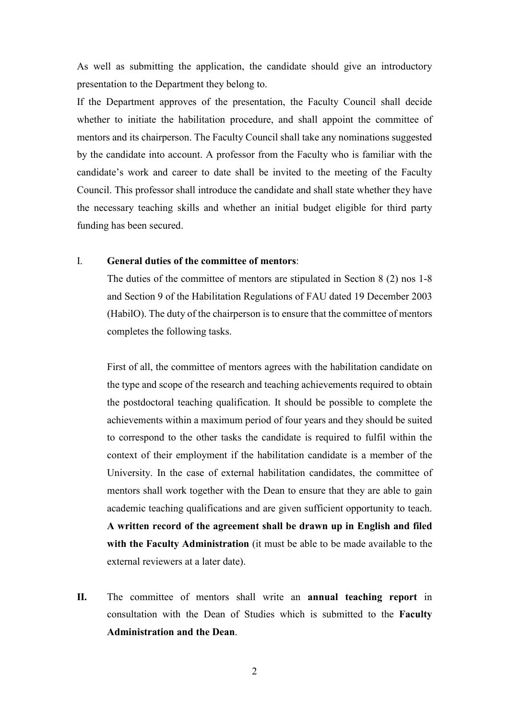As well as submitting the application, the candidate should give an introductory presentation to the Department they belong to.

If the Department approves of the presentation, the Faculty Council shall decide whether to initiate the habilitation procedure, and shall appoint the committee of mentors and its chairperson. The Faculty Council shall take any nominations suggested by the candidate into account. A professor from the Faculty who is familiar with the candidate's work and career to date shall be invited to the meeting of the Faculty Council. This professor shall introduce the candidate and shall state whether they have the necessary teaching skills and whether an initial budget eligible for third party funding has been secured.

## I. **General duties of the committee of mentors**:

The duties of the committee of mentors are stipulated in Section 8 (2) nos 1-8 and Section 9 of the Habilitation Regulations of FAU dated 19 December 2003 (HabilO). The duty of the chairperson is to ensure that the committee of mentors completes the following tasks.

First of all, the committee of mentors agrees with the habilitation candidate on the type and scope of the research and teaching achievements required to obtain the postdoctoral teaching qualification. It should be possible to complete the achievements within a maximum period of four years and they should be suited to correspond to the other tasks the candidate is required to fulfil within the context of their employment if the habilitation candidate is a member of the University. In the case of external habilitation candidates, the committee of mentors shall work together with the Dean to ensure that they are able to gain academic teaching qualifications and are given sufficient opportunity to teach. **A written record of the agreement shall be drawn up in English and filed with the Faculty Administration** (it must be able to be made available to the external reviewers at a later date).

**II.** The committee of mentors shall write an **annual teaching report** in consultation with the Dean of Studies which is submitted to the **Faculty Administration and the Dean**.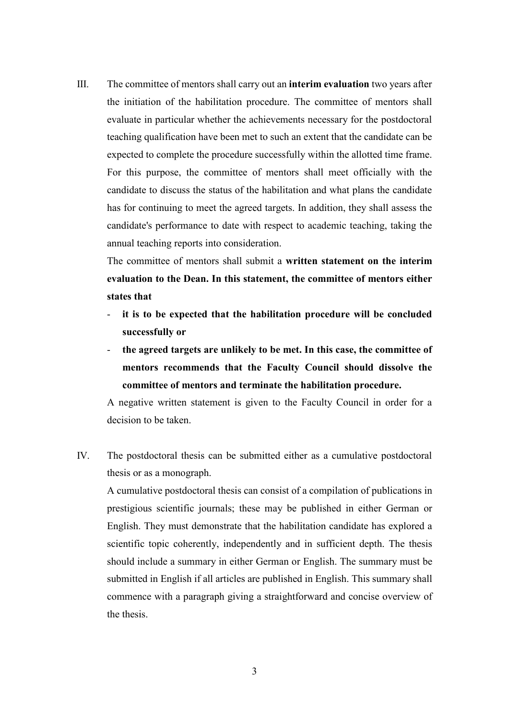III. The committee of mentors shall carry out an **interim evaluation** two years after the initiation of the habilitation procedure. The committee of mentors shall evaluate in particular whether the achievements necessary for the postdoctoral teaching qualification have been met to such an extent that the candidate can be expected to complete the procedure successfully within the allotted time frame. For this purpose, the committee of mentors shall meet officially with the candidate to discuss the status of the habilitation and what plans the candidate has for continuing to meet the agreed targets. In addition, they shall assess the candidate's performance to date with respect to academic teaching, taking the annual teaching reports into consideration.

The committee of mentors shall submit a **written statement on the interim evaluation to the Dean. In this statement, the committee of mentors either states that**

- it is to be expected that the habilitation procedure will be concluded **successfully or**
- the agreed targets are unlikely to be met. In this case, the committee of **mentors recommends that the Faculty Council should dissolve the committee of mentors and terminate the habilitation procedure.**

A negative written statement is given to the Faculty Council in order for a decision to be taken.

IV. The postdoctoral thesis can be submitted either as a cumulative postdoctoral thesis or as a monograph.

A cumulative postdoctoral thesis can consist of a compilation of publications in prestigious scientific journals; these may be published in either German or English. They must demonstrate that the habilitation candidate has explored a scientific topic coherently, independently and in sufficient depth. The thesis should include a summary in either German or English. The summary must be submitted in English if all articles are published in English. This summary shall commence with a paragraph giving a straightforward and concise overview of the thesis.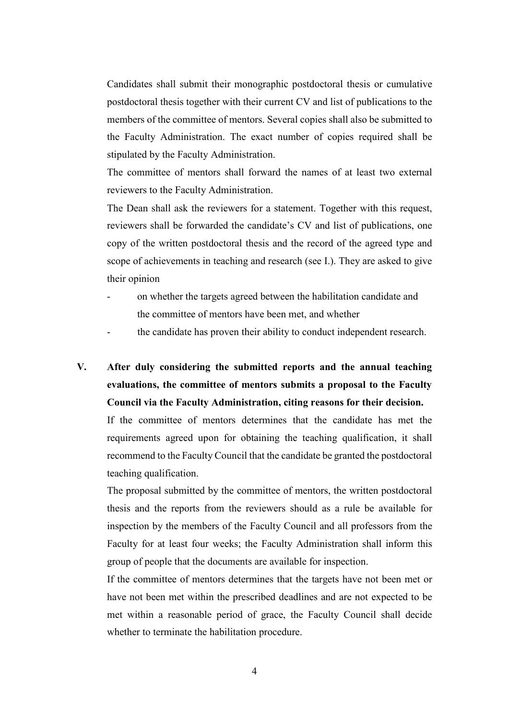Candidates shall submit their monographic postdoctoral thesis or cumulative postdoctoral thesis together with their current CV and list of publications to the members of the committee of mentors. Several copies shall also be submitted to the Faculty Administration. The exact number of copies required shall be stipulated by the Faculty Administration.

The committee of mentors shall forward the names of at least two external reviewers to the Faculty Administration.

The Dean shall ask the reviewers for a statement. Together with this request, reviewers shall be forwarded the candidate's CV and list of publications, one copy of the written postdoctoral thesis and the record of the agreed type and scope of achievements in teaching and research (see I.). They are asked to give their opinion

- on whether the targets agreed between the habilitation candidate and the committee of mentors have been met, and whether
- the candidate has proven their ability to conduct independent research.
- **V. After duly considering the submitted reports and the annual teaching evaluations, the committee of mentors submits a proposal to the Faculty Council via the Faculty Administration, citing reasons for their decision.**

If the committee of mentors determines that the candidate has met the requirements agreed upon for obtaining the teaching qualification, it shall recommend to the Faculty Council that the candidate be granted the postdoctoral teaching qualification.

The proposal submitted by the committee of mentors, the written postdoctoral thesis and the reports from the reviewers should as a rule be available for inspection by the members of the Faculty Council and all professors from the Faculty for at least four weeks; the Faculty Administration shall inform this group of people that the documents are available for inspection.

If the committee of mentors determines that the targets have not been met or have not been met within the prescribed deadlines and are not expected to be met within a reasonable period of grace, the Faculty Council shall decide whether to terminate the habilitation procedure.